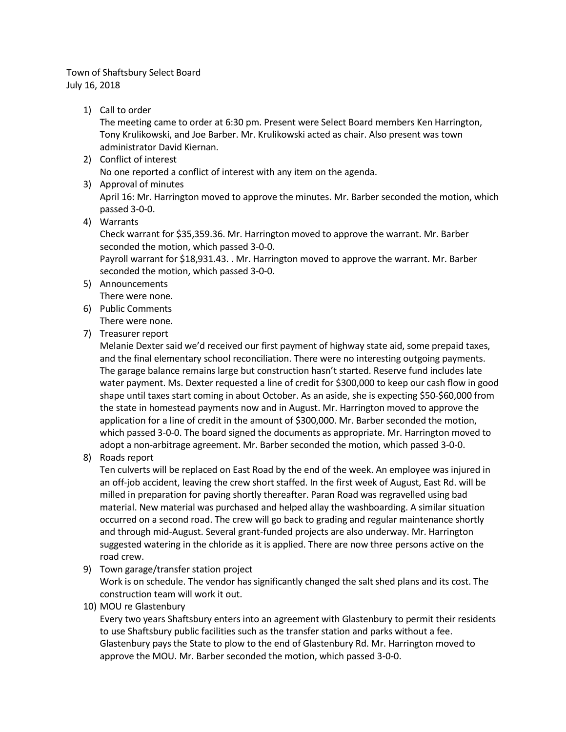## Town of Shaftsbury Select Board July 16, 2018

1) Call to order

The meeting came to order at 6:30 pm. Present were Select Board members Ken Harrington, Tony Krulikowski, and Joe Barber. Mr. Krulikowski acted as chair. Also present was town administrator David Kiernan.

- 2) Conflict of interest No one reported a conflict of interest with any item on the agenda.
- 3) Approval of minutes

April 16: Mr. Harrington moved to approve the minutes. Mr. Barber seconded the motion, which passed 3-0-0.

4) Warrants

Check warrant for \$35,359.36. Mr. Harrington moved to approve the warrant. Mr. Barber seconded the motion, which passed 3-0-0.

Payroll warrant for \$18,931.43. . Mr. Harrington moved to approve the warrant. Mr. Barber seconded the motion, which passed 3-0-0.

- 5) Announcements There were none.
- 6) Public Comments There were none.
- 7) Treasurer report

Melanie Dexter said we'd received our first payment of highway state aid, some prepaid taxes, and the final elementary school reconciliation. There were no interesting outgoing payments. The garage balance remains large but construction hasn't started. Reserve fund includes late water payment. Ms. Dexter requested a line of credit for \$300,000 to keep our cash flow in good shape until taxes start coming in about October. As an aside, she is expecting \$50-\$60,000 from the state in homestead payments now and in August. Mr. Harrington moved to approve the application for a line of credit in the amount of \$300,000. Mr. Barber seconded the motion, which passed 3-0-0. The board signed the documents as appropriate. Mr. Harrington moved to adopt a non-arbitrage agreement. Mr. Barber seconded the motion, which passed 3-0-0.

8) Roads report

Ten culverts will be replaced on East Road by the end of the week. An employee was injured in an off-job accident, leaving the crew short staffed. In the first week of August, East Rd. will be milled in preparation for paving shortly thereafter. Paran Road was regravelled using bad material. New material was purchased and helped allay the washboarding. A similar situation occurred on a second road. The crew will go back to grading and regular maintenance shortly and through mid-August. Several grant-funded projects are also underway. Mr. Harrington suggested watering in the chloride as it is applied. There are now three persons active on the road crew.

9) Town garage/transfer station project

Work is on schedule. The vendor has significantly changed the salt shed plans and its cost. The construction team will work it out.

10) MOU re Glastenbury

Every two years Shaftsbury enters into an agreement with Glastenbury to permit their residents to use Shaftsbury public facilities such as the transfer station and parks without a fee. Glastenbury pays the State to plow to the end of Glastenbury Rd. Mr. Harrington moved to approve the MOU. Mr. Barber seconded the motion, which passed 3-0-0.